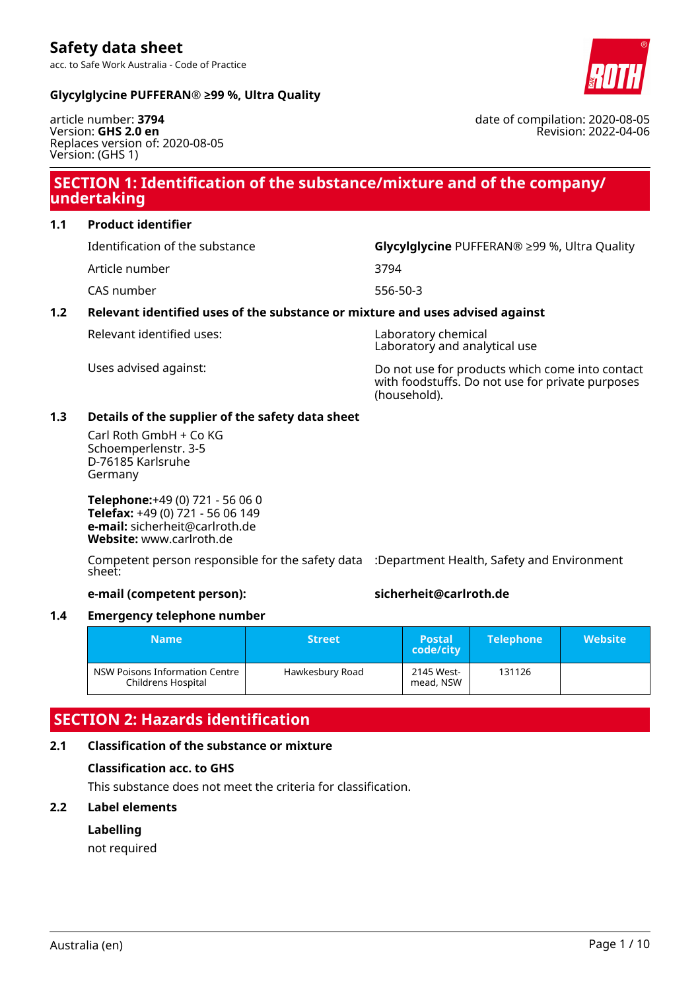### **Glycylglycine PUFFERAN® ≥99 %, Ultra Quality**

article number: **3794** Version: **GHS 2.0 en** Replaces version of: 2020-08-05 Version: (GHS 1)

# **SECTION 1: Identification of the substance/mixture and of the company/ undertaking**

### **1.1 Product identifier**

Identification of the substance **Glycylglycine** PUFFERAN® ≥99 %, Ultra Quality

Article number 3794

CAS number 556-50-3

### **1.2 Relevant identified uses of the substance or mixture and uses advised against**

Relevant identified uses: Laboratory chemical

Laboratory and analytical use

Uses advised against: Do not use for products which come into contact with foodstuffs. Do not use for private purposes (household).

### **1.3 Details of the supplier of the safety data sheet**

Carl Roth GmbH + Co KG Schoemperlenstr. 3-5 D-76185 Karlsruhe Germany

**Telephone:**+49 (0) 721 - 56 06 0 **Telefax:** +49 (0) 721 - 56 06 149 **e-mail:** sicherheit@carlroth.de **Website:** www.carlroth.de

Competent person responsible for the safety data :Department Health, Safety and Environment sheet:

### **e-mail (competent person): sicherheit@carlroth.de**

### **1.4 Emergency telephone number**

| <b>Name</b>                                          | <b>Street</b>   | <b>Postal</b><br>code/city | <b>Telephone</b> | <b>Website</b> |
|------------------------------------------------------|-----------------|----------------------------|------------------|----------------|
| NSW Poisons Information Centre<br>Childrens Hospital | Hawkesbury Road | 2145 West-<br>mead, NSW    | 131126           |                |

# **SECTION 2: Hazards identification**

# **2.1 Classification of the substance or mixture**

# **Classification acc. to GHS**

This substance does not meet the criteria for classification.

# **2.2 Label elements**

### **Labelling**

not required



Revision: 2022-04-06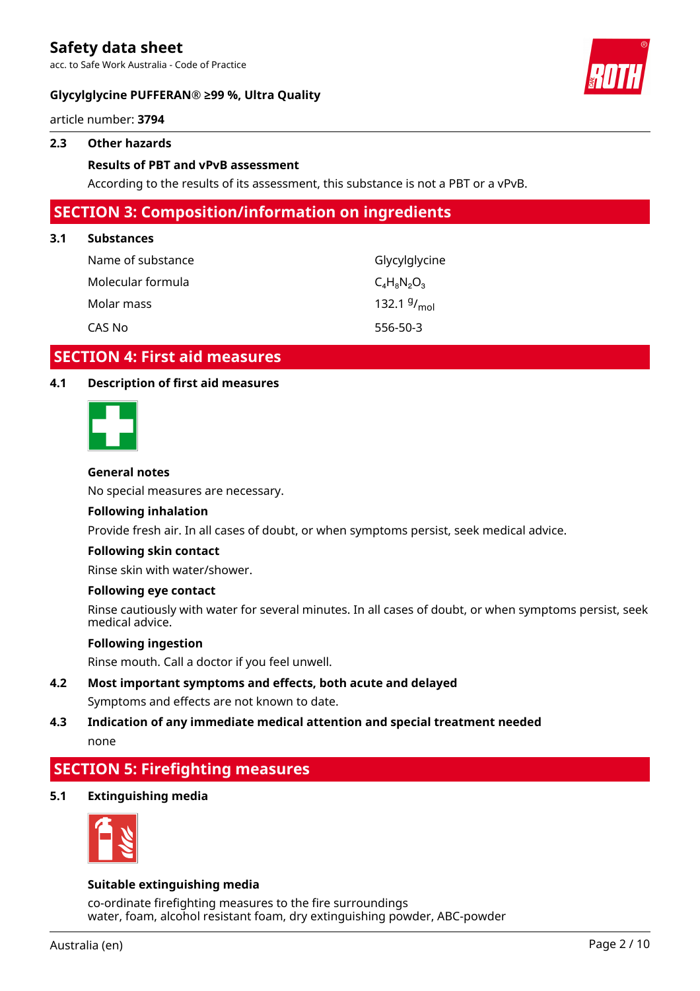acc. to Safe Work Australia - Code of Practice

### **Glycylglycine PUFFERAN® ≥99 %, Ultra Quality**



article number: **3794**

### **2.3 Other hazards**

### **Results of PBT and vPvB assessment**

According to the results of its assessment, this substance is not a PBT or a vPvB.

### **SECTION 3: Composition/information on ingredients**

### **3.1 Substances**

| Name of substance | Glycylglycine           |
|-------------------|-------------------------|
| Molecular formula | $C_4H_8N_2O_3$          |
| Molar mass        | 132.1 $9/_{\text{mol}}$ |
| CAS No            | 556-50-3                |

### **SECTION 4: First aid measures**

### **4.1 Description of first aid measures**



### **General notes**

No special measures are necessary.

#### **Following inhalation**

Provide fresh air. In all cases of doubt, or when symptoms persist, seek medical advice.

#### **Following skin contact**

Rinse skin with water/shower.

### **Following eye contact**

Rinse cautiously with water for several minutes. In all cases of doubt, or when symptoms persist, seek medical advice.

### **Following ingestion**

Rinse mouth. Call a doctor if you feel unwell.

- **4.2 Most important symptoms and effects, both acute and delayed** Symptoms and effects are not known to date.
- **4.3 Indication of any immediate medical attention and special treatment needed** none

# **SECTION 5: Firefighting measures**

**5.1 Extinguishing media**



### **Suitable extinguishing media**

co-ordinate firefighting measures to the fire surroundings water, foam, alcohol resistant foam, dry extinguishing powder, ABC-powder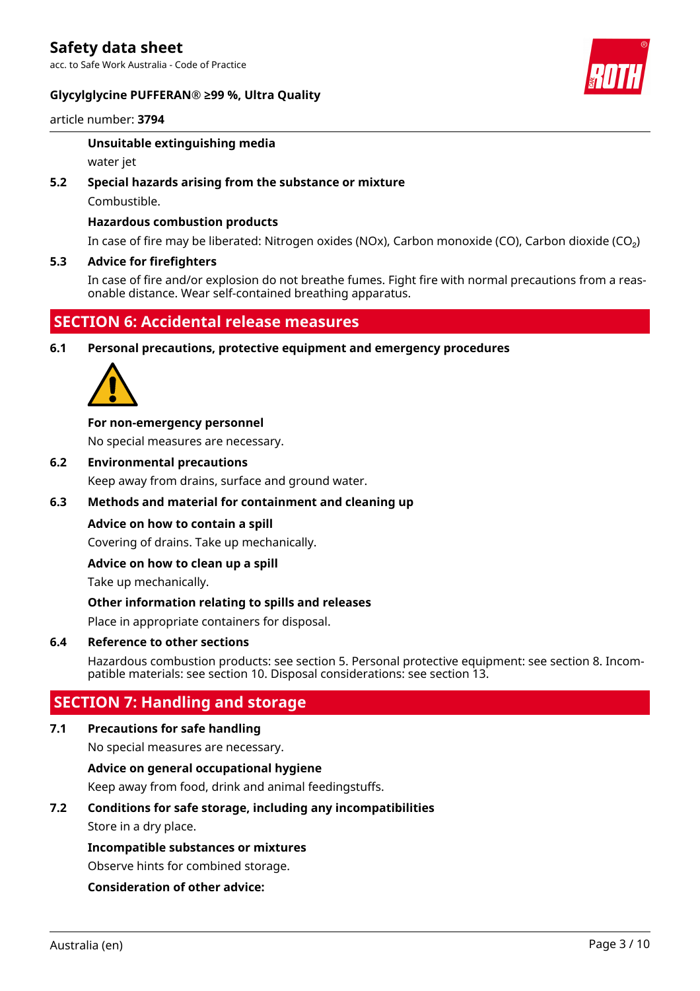acc. to Safe Work Australia - Code of Practice

### **Glycylglycine PUFFERAN® ≥99 %, Ultra Quality**



article number: **3794**

### **Unsuitable extinguishing media**

water jet

### **5.2 Special hazards arising from the substance or mixture**

Combustible.

### **Hazardous combustion products**

In case of fire may be liberated: Nitrogen oxides (NOx), Carbon monoxide (CO), Carbon dioxide (CO₂)

### **5.3 Advice for firefighters**

In case of fire and/or explosion do not breathe fumes. Fight fire with normal precautions from a reasonable distance. Wear self-contained breathing apparatus.

# **SECTION 6: Accidental release measures**

**6.1 Personal precautions, protective equipment and emergency procedures**



### **For non-emergency personnel**

No special measures are necessary.

**6.2 Environmental precautions**

Keep away from drains, surface and ground water.

### **6.3 Methods and material for containment and cleaning up**

### **Advice on how to contain a spill**

Covering of drains. Take up mechanically.

### **Advice on how to clean up a spill**

Take up mechanically.

### **Other information relating to spills and releases**

Place in appropriate containers for disposal.

### **6.4 Reference to other sections**

Hazardous combustion products: see section 5. Personal protective equipment: see section 8. Incompatible materials: see section 10. Disposal considerations: see section 13.

# **SECTION 7: Handling and storage**

### **7.1 Precautions for safe handling**

No special measures are necessary.

### **Advice on general occupational hygiene**

Keep away from food, drink and animal feedingstuffs.

### **7.2 Conditions for safe storage, including any incompatibilities**

Store in a dry place.

### **Incompatible substances or mixtures**

Observe hints for combined storage.

### **Consideration of other advice:**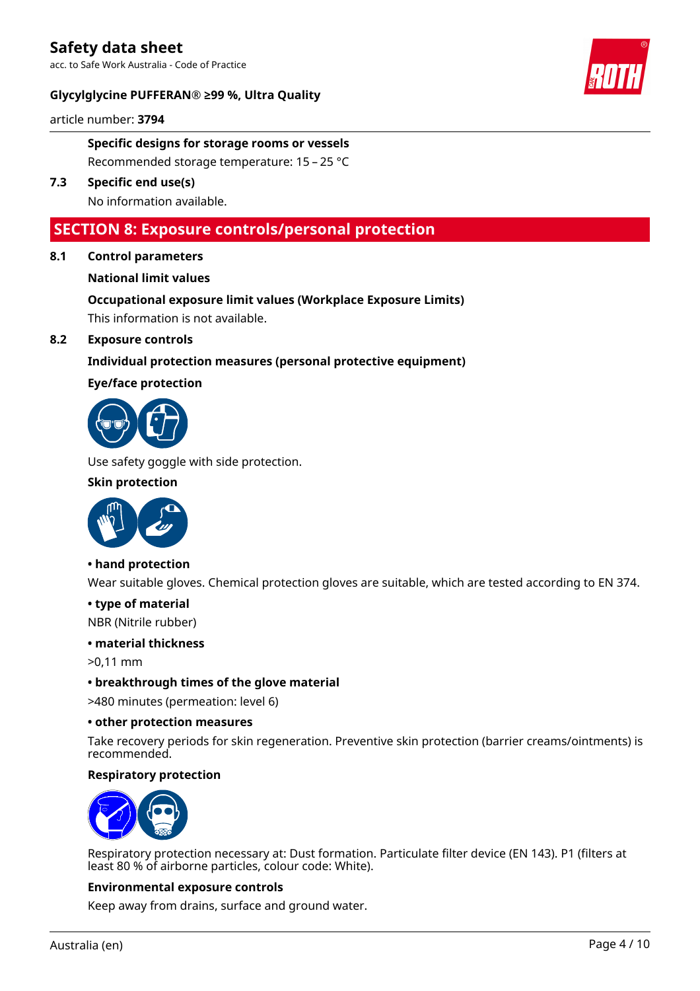acc. to Safe Work Australia - Code of Practice

### **Glycylglycine PUFFERAN® ≥99 %, Ultra Quality**



article number: **3794**

### **Specific designs for storage rooms or vessels** Recommended storage temperature: 15 – 25 °C

# **7.3 Specific end use(s)**

No information available.

## **SECTION 8: Exposure controls/personal protection**

### **8.1 Control parameters**

### **National limit values**

# **Occupational exposure limit values (Workplace Exposure Limits)**

This information is not available.

### **8.2 Exposure controls**

### **Individual protection measures (personal protective equipment)**

### **Eye/face protection**



Use safety goggle with side protection.

### **Skin protection**



### **• hand protection**

Wear suitable gloves. Chemical protection gloves are suitable, which are tested according to EN 374.

### **• type of material**

NBR (Nitrile rubber)

#### **• material thickness**

>0,11 mm

### **• breakthrough times of the glove material**

>480 minutes (permeation: level 6)

### **• other protection measures**

Take recovery periods for skin regeneration. Preventive skin protection (barrier creams/ointments) is recommended.

### **Respiratory protection**



Respiratory protection necessary at: Dust formation. Particulate filter device (EN 143). P1 (filters at least 80 % of airborne particles, colour code: White).

### **Environmental exposure controls**

Keep away from drains, surface and ground water.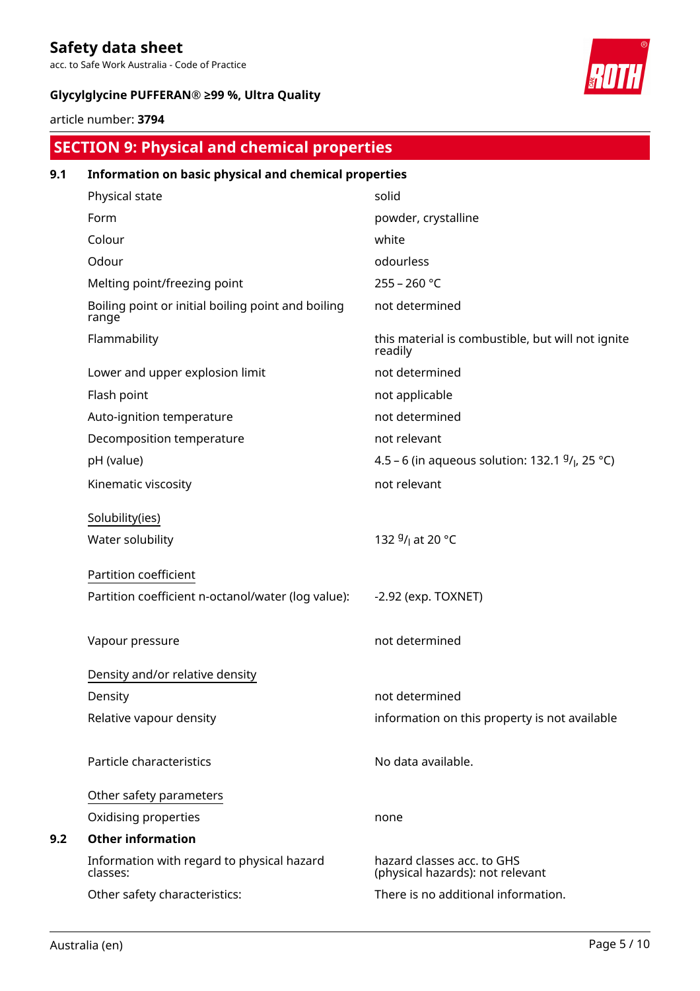acc. to Safe Work Australia - Code of Practice

### **Glycylglycine PUFFERAN® ≥99 %, Ultra Quality**



article number: **3794**

# **SECTION 9: Physical and chemical properties**

| 9.1 | Information on basic physical and chemical properties       |                                                                |
|-----|-------------------------------------------------------------|----------------------------------------------------------------|
|     | Physical state                                              | solid                                                          |
|     | Form                                                        | powder, crystalline                                            |
|     | Colour                                                      | white                                                          |
|     | Odour                                                       | odourless                                                      |
|     | Melting point/freezing point                                | $255 - 260 °C$                                                 |
|     | Boiling point or initial boiling point and boiling<br>range | not determined                                                 |
|     | Flammability                                                | this material is combustible, but will not ignite<br>readily   |
|     | Lower and upper explosion limit                             | not determined                                                 |
|     | Flash point                                                 | not applicable                                                 |
|     | Auto-ignition temperature                                   | not determined                                                 |
|     | Decomposition temperature                                   | not relevant                                                   |
|     | pH (value)                                                  | 4.5 – 6 (in aqueous solution: 132.1 $9/1$ , 25 °C)             |
|     | Kinematic viscosity                                         | not relevant                                                   |
|     | Solubility(ies)                                             |                                                                |
|     | Water solubility                                            | 132 <sup>g</sup> / <sub>l</sub> at 20 °C                       |
|     | Partition coefficient                                       |                                                                |
|     | Partition coefficient n-octanol/water (log value):          | $-2.92$ (exp. TOXNET)                                          |
|     | Vapour pressure                                             | not determined                                                 |
|     | Density and/or relative density                             |                                                                |
|     | Density                                                     | not determined                                                 |
|     | Relative vapour density                                     | information on this property is not available                  |
|     | Particle characteristics                                    | No data available.                                             |
|     | Other safety parameters                                     |                                                                |
|     | Oxidising properties                                        | none                                                           |
| 9.2 | <b>Other information</b>                                    |                                                                |
|     | Information with regard to physical hazard<br>classes:      | hazard classes acc. to GHS<br>(physical hazards): not relevant |
|     | Other safety characteristics:                               | There is no additional information.                            |
|     |                                                             |                                                                |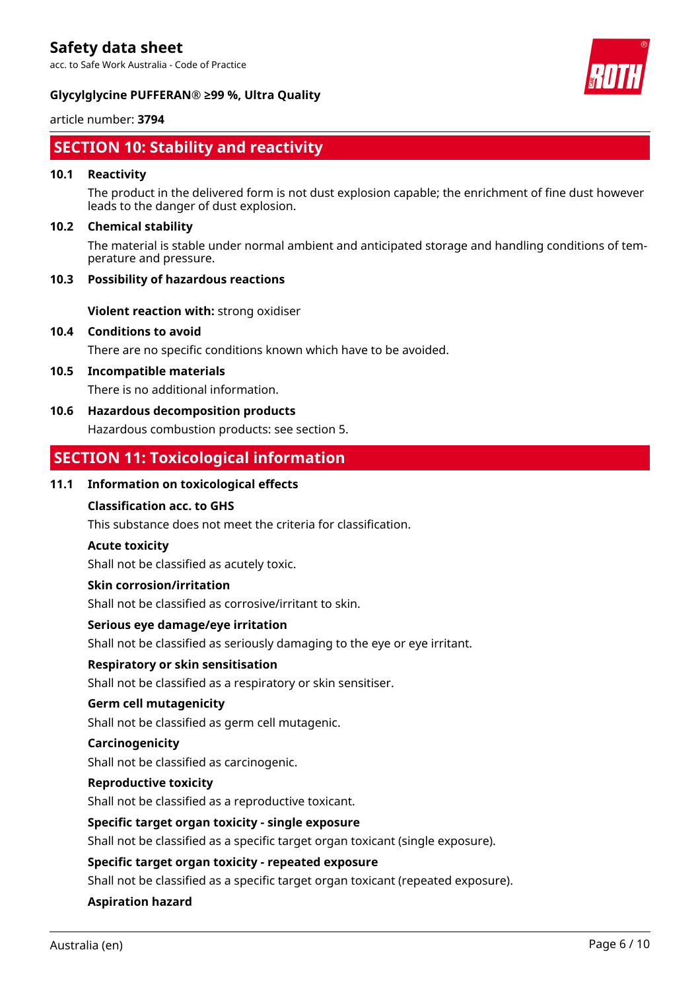acc. to Safe Work Australia - Code of Practice



### **Glycylglycine PUFFERAN® ≥99 %, Ultra Quality**

### article number: **3794**

# **SECTION 10: Stability and reactivity**

### **10.1 Reactivity**

The product in the delivered form is not dust explosion capable; the enrichment of fine dust however leads to the danger of dust explosion.

### **10.2 Chemical stability**

The material is stable under normal ambient and anticipated storage and handling conditions of temperature and pressure.

### **10.3 Possibility of hazardous reactions**

**Violent reaction with:** strong oxidiser

### **10.4 Conditions to avoid**

There are no specific conditions known which have to be avoided.

### **10.5 Incompatible materials**

There is no additional information.

### **10.6 Hazardous decomposition products**

Hazardous combustion products: see section 5.

# **SECTION 11: Toxicological information**

### **11.1 Information on toxicological effects**

### **Classification acc. to GHS**

This substance does not meet the criteria for classification.

#### **Acute toxicity**

Shall not be classified as acutely toxic.

### **Skin corrosion/irritation**

Shall not be classified as corrosive/irritant to skin.

### **Serious eye damage/eye irritation**

Shall not be classified as seriously damaging to the eye or eye irritant.

### **Respiratory or skin sensitisation**

Shall not be classified as a respiratory or skin sensitiser.

#### **Germ cell mutagenicity**

Shall not be classified as germ cell mutagenic.

#### **Carcinogenicity**

Shall not be classified as carcinogenic.

#### **Reproductive toxicity**

Shall not be classified as a reproductive toxicant.

#### **Specific target organ toxicity - single exposure**

Shall not be classified as a specific target organ toxicant (single exposure).

#### **Specific target organ toxicity - repeated exposure**

Shall not be classified as a specific target organ toxicant (repeated exposure).

### **Aspiration hazard**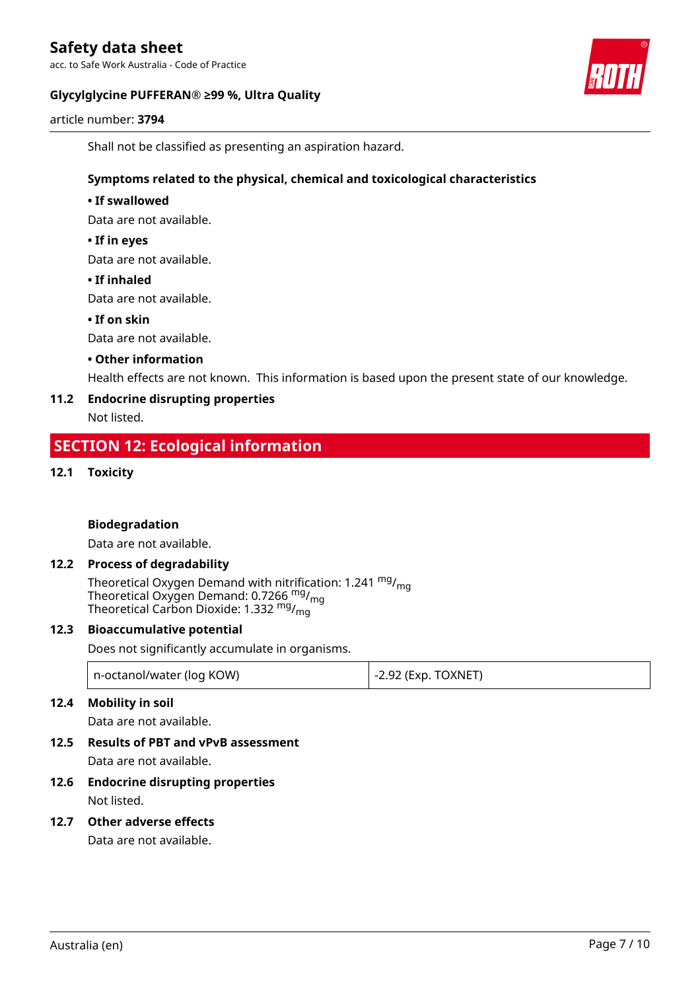acc. to Safe Work Australia - Code of Practice

### **Glycylglycine PUFFERAN® ≥99 %, Ultra Quality**



article number: **3794**

Shall not be classified as presenting an aspiration hazard.

### **Symptoms related to the physical, chemical and toxicological characteristics**

### **• If swallowed**

Data are not available.

### **• If in eyes**

Data are not available.

### **• If inhaled**

Data are not available.

### **• If on skin**

Data are not available.

### **• Other information**

Health effects are not known. This information is based upon the present state of our knowledge.

### **11.2 Endocrine disrupting properties**

Not listed.

### **SECTION 12: Ecological information**

### **12.1 Toxicity**

### **Biodegradation**

Data are not available.

### **12.2 Process of degradability**

Theoretical Oxygen Demand with nitrification: 1.241 <sup>mg</sup>/<sub>mg</sub> Theoretical Oxygen Demand: 0.7266 <sup>mg</sup>/<sub>mg</sub> Theoretical Carbon Dioxide: 1.332  $mg/mq$ 

### **12.3 Bioaccumulative potential**

Does not significantly accumulate in organisms.

| n-octanol/water (log KOW) | $\vert$ -2.92 (Exp. TOXNET) |
|---------------------------|-----------------------------|
|---------------------------|-----------------------------|

### **12.4 Mobility in soil**

Data are not available.

# **12.5 Results of PBT and vPvB assessment**

Data are not available.

### **12.6 Endocrine disrupting properties** Not listed.

### **12.7 Other adverse effects**

Data are not available.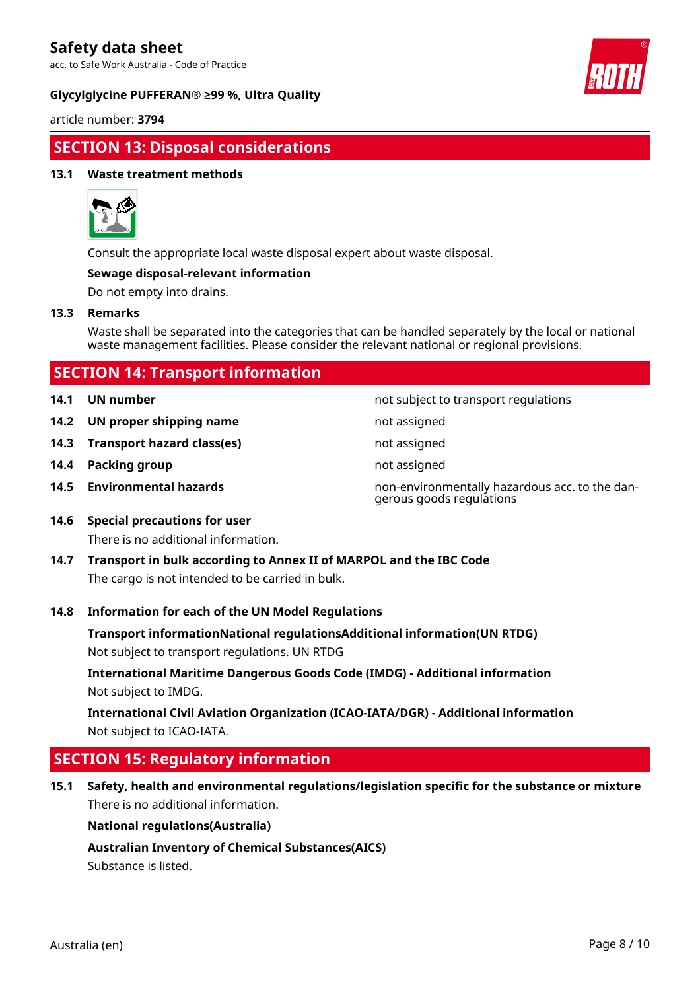acc. to Safe Work Australia - Code of Practice

### **Glycylglycine PUFFERAN® ≥99 %, Ultra Quality**



article number: **3794**

# **SECTION 13: Disposal considerations**

### **13.1 Waste treatment methods**



Consult the appropriate local waste disposal expert about waste disposal.

### **Sewage disposal-relevant information**

Do not empty into drains.

### **13.3 Remarks**

Waste shall be separated into the categories that can be handled separately by the local or national waste management facilities. Please consider the relevant national or regional provisions.

| <b>SECTION 14: Transport information</b> |  |
|------------------------------------------|--|
|                                          |  |

- 
- **14.2 UN proper shipping name** not assigned
- **14.3 Transport hazard class(es)** not assigned
- **14.4 Packing group not assigned not assigned**
- 

**14.1 UN number 14.1 UN number not subject to transport regulations** 

- 
- 
- 
- **14.5 Environmental hazards** non-environmentally hazardous acc. to the dangerous goods regulations
- **14.6 Special precautions for user** There is no additional information.
- **14.7 Transport in bulk according to Annex II of MARPOL and the IBC Code** The cargo is not intended to be carried in bulk.

### **14.8 Information for each of the UN Model Regulations**

**Transport informationNational regulationsAdditional information(UN RTDG)**

Not subject to transport regulations. UN RTDG

**International Maritime Dangerous Goods Code (IMDG) - Additional information** Not subject to IMDG.

**International Civil Aviation Organization (ICAO-IATA/DGR) - Additional information** Not subject to ICAO-IATA.

# **SECTION 15: Regulatory information**

**15.1 Safety, health and environmental regulations/legislation specific for the substance or mixture** There is no additional information.

### **National regulations(Australia)**

**Australian Inventory of Chemical Substances(AICS)**

Substance is listed.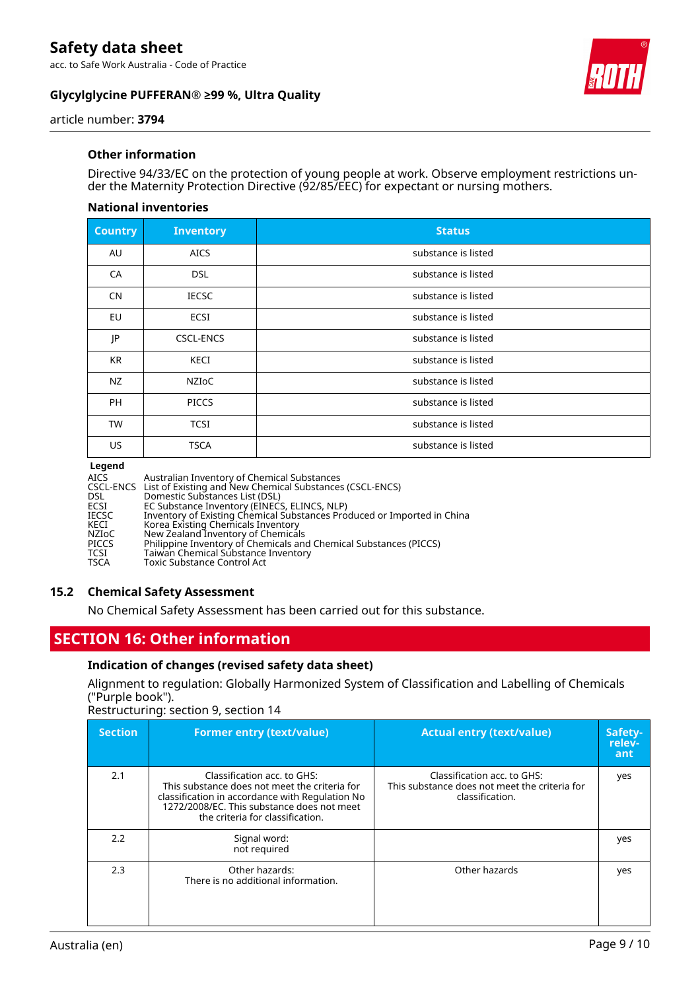acc. to Safe Work Australia - Code of Practice

### **Glycylglycine PUFFERAN® ≥99 %, Ultra Quality**



article number: **3794**

### **Other information**

Directive 94/33/EC on the protection of young people at work. Observe employment restrictions under the Maternity Protection Directive (92/85/EEC) for expectant or nursing mothers.

### **National inventories**

| <b>Country</b> | <b>Inventory</b> | <b>Status</b>       |
|----------------|------------------|---------------------|
| AU             | <b>AICS</b>      | substance is listed |
| CA             | <b>DSL</b>       | substance is listed |
| <b>CN</b>      | <b>IECSC</b>     | substance is listed |
| EU             | ECSI             | substance is listed |
| JP             | CSCL-ENCS        | substance is listed |
| <b>KR</b>      | KECI             | substance is listed |
| NZ             | NZIOC            | substance is listed |
| <b>PH</b>      | <b>PICCS</b>     | substance is listed |
| <b>TW</b>      | <b>TCSI</b>      | substance is listed |
| US             | <b>TSCA</b>      | substance is listed |

#### **Legend**

| <b>AICS</b>  | Australian Inventory of Chemical Substances                             |
|--------------|-------------------------------------------------------------------------|
|              | CSCL-ENCS List of Existing and New Chemical Substances (CSCL-ENCS)      |
| <b>DSL</b>   | Domestic Substances List (DSL)                                          |
| ECSI         | EC Substance Inventory (EINECS, ELINCS, NLP)                            |
| <b>IECSC</b> | Inventory of Existing Chemical Substances Produced or Imported in China |
| KECI         | Korea Existing Chemicals Inventory                                      |
| NZIoC        | New Zealand Inventory of Chemicals                                      |
| <b>PICCS</b> | Philippine Inventory of Chemicals and Chemical Substances (PICCS)       |
| <b>TCSI</b>  | Taiwan Chemical Substance Inventory                                     |
| <b>TSCA</b>  | <b>Toxic Substance Control Act</b>                                      |

### **15.2 Chemical Safety Assessment**

No Chemical Safety Assessment has been carried out for this substance.

# **SECTION 16: Other information**

### **Indication of changes (revised safety data sheet)**

Alignment to regulation: Globally Harmonized System of Classification and Labelling of Chemicals ("Purple book").

Restructuring: section 9, section 14

| <b>Section</b> | <b>Former entry (text/value)</b>                                                                                                                                                                                  | <b>Actual entry (text/value)</b>                                                                | Safety-<br>relev-<br>ant |
|----------------|-------------------------------------------------------------------------------------------------------------------------------------------------------------------------------------------------------------------|-------------------------------------------------------------------------------------------------|--------------------------|
| 2.1            | Classification acc. to GHS:<br>This substance does not meet the criteria for<br>classification in accordance with Regulation No<br>1272/2008/EC. This substance does not meet<br>the criteria for classification. | Classification acc. to GHS:<br>This substance does not meet the criteria for<br>classification. | yes                      |
| 2.2            | Signal word:<br>not required                                                                                                                                                                                      |                                                                                                 | yes                      |
| 2.3            | Other hazards:<br>There is no additional information.                                                                                                                                                             | Other hazards                                                                                   | yes                      |